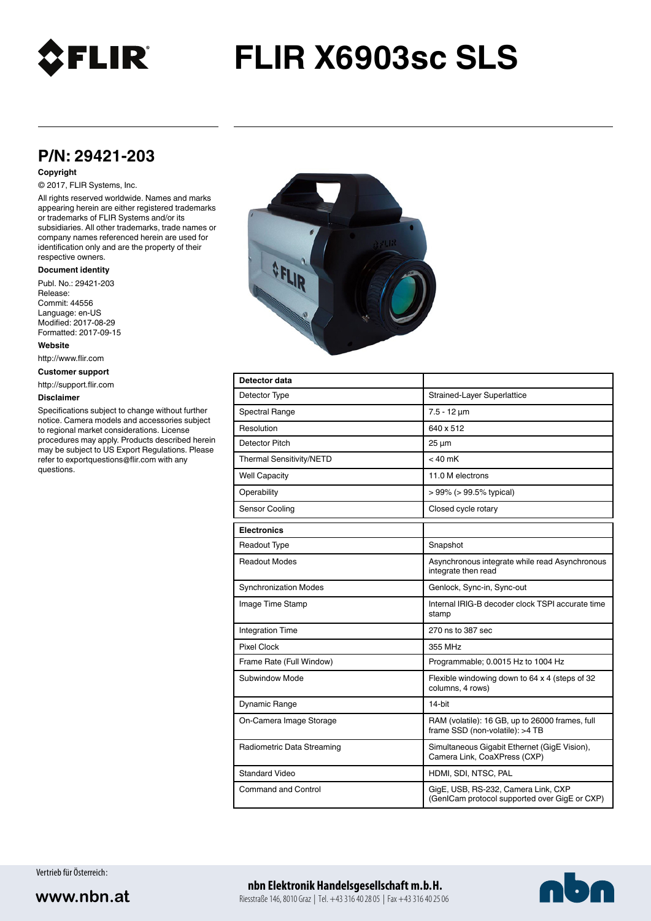

# **FLIR X6903sc SLS**

## **P/N: 29421-203**

#### **Copyright**

#### © 2017, FLIR Systems, Inc.

All rights reserved worldwide. Names and marks appearing herein are either registered trademarks or trademarks of FLIR Systems and/or its subsidiaries. All other trademarks, trade names or company names referenced herein are used for identification only and are the property of their respective owners.

#### **Document identity**

Publ. No.: 29421-203 Release: Commit: 44556 Language: en-US Modified: 2017-08-29 Formatted: 2017-09-15

**Website**

http://www.flir.com

**Customer support**

http://support.flir.com

#### **Disclaimer**

Specifications subject to change without further notice. Camera models and accessories subject to regional market considerations. License procedures may apply. Products described herein may be subject to US Export Regulations. Please refer to exportquestions@flir.com with any questions.



| Detector data                |                                                                                      |
|------------------------------|--------------------------------------------------------------------------------------|
| Detector Type                | Strained-Layer Superlattice                                                          |
| <b>Spectral Range</b>        | $7.5 - 12 \mu m$                                                                     |
| Resolution                   | 640 x 512                                                                            |
| Detector Pitch               | $25 \mu m$                                                                           |
| Thermal Sensitivity/NETD     | $< 40$ mK                                                                            |
| <b>Well Capacity</b>         | 11.0 M electrons                                                                     |
| Operability                  | $> 99\%$ ( $> 99.5\%$ typical)                                                       |
| Sensor Cooling               | Closed cycle rotary                                                                  |
| <b>Electronics</b>           |                                                                                      |
| <b>Readout Type</b>          | Snapshot                                                                             |
| <b>Readout Modes</b>         | Asynchronous integrate while read Asynchronous<br>integrate then read                |
| <b>Synchronization Modes</b> | Genlock, Sync-in, Sync-out                                                           |
| Image Time Stamp             | Internal IRIG-B decoder clock TSPI accurate time<br>stamp                            |
| <b>Integration Time</b>      | 270 ns to 387 sec                                                                    |
| <b>Pixel Clock</b>           | 355 MHz                                                                              |
| Frame Rate (Full Window)     | Programmable; 0.0015 Hz to 1004 Hz                                                   |
| Subwindow Mode               | Flexible windowing down to 64 x 4 (steps of 32<br>columns, 4 rows)                   |
| Dynamic Range                | 14-bit                                                                               |
| On-Camera Image Storage      | RAM (volatile): 16 GB, up to 26000 frames, full<br>frame SSD (non-volatile): >4 TB   |
| Radiometric Data Streaming   | Simultaneous Gigabit Ethernet (GigE Vision),<br>Camera Link, CoaXPress (CXP)         |
| <b>Standard Video</b>        | HDMI, SDI, NTSC, PAL                                                                 |
| <b>Command and Control</b>   | GigE, USB, RS-232, Camera Link, CXP<br>(GenICam protocol supported over GigE or CXP) |

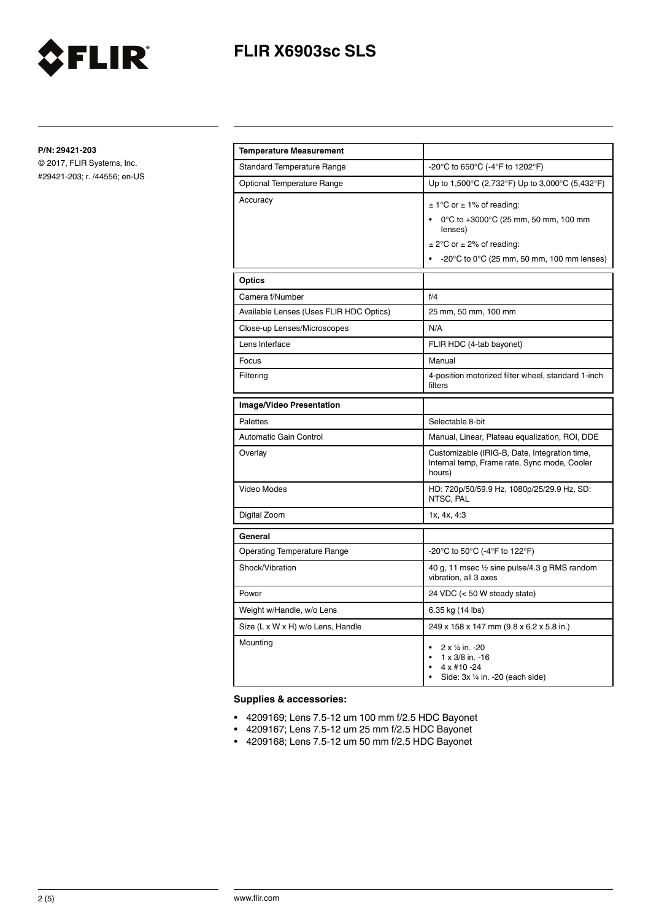

## **FLIR X6903sc SLS**

**P/N: 29421-203**

© 2017, FLIR Systems, Inc. #29421-203; r. /44556; en-US

| <b>Temperature Measurement</b>          |                                                                                                                                                                                              |
|-----------------------------------------|----------------------------------------------------------------------------------------------------------------------------------------------------------------------------------------------|
| <b>Standard Temperature Range</b>       | -20°C to 650°C (-4°F to 1202°F)                                                                                                                                                              |
| <b>Optional Temperature Range</b>       | Up to 1,500°C (2,732°F) Up to 3,000°C (5,432°F)                                                                                                                                              |
| Accuracy                                | $\pm$ 1°C or $\pm$ 1% of reading:<br>0°C to +3000°C (25 mm, 50 mm, 100 mm<br>lenses)<br>$\pm$ 2°C or $\pm$ 2% of reading:<br>$-20^{\circ}$ C to 0 $^{\circ}$ C (25 mm, 50 mm, 100 mm lenses) |
| <b>Optics</b>                           |                                                                                                                                                                                              |
| Camera f/Number                         | f/4                                                                                                                                                                                          |
| Available Lenses (Uses FLIR HDC Optics) | 25 mm, 50 mm, 100 mm                                                                                                                                                                         |
| Close-up Lenses/Microscopes             | N/A                                                                                                                                                                                          |
| Lens Interface                          | FLIR HDC (4-tab bayonet)                                                                                                                                                                     |
| Focus                                   | Manual                                                                                                                                                                                       |
| Filtering                               | 4-position motorized filter wheel, standard 1-inch<br>filters                                                                                                                                |
| Image/Video Presentation                |                                                                                                                                                                                              |
| Palettes                                | Selectable 8-bit                                                                                                                                                                             |
| Automatic Gain Control                  | Manual, Linear, Plateau equalization, ROI, DDE                                                                                                                                               |
| Overlay                                 | Customizable (IRIG-B, Date, Integration time,<br>Internal temp, Frame rate, Sync mode, Cooler<br>hours)                                                                                      |
| Video Modes                             | HD: 720p/50/59.9 Hz, 1080p/25/29.9 Hz, SD:<br>NTSC, PAL                                                                                                                                      |
| Digital Zoom                            | 1x, 4x, 4:3                                                                                                                                                                                  |
| General                                 |                                                                                                                                                                                              |
| <b>Operating Temperature Range</b>      | -20°C to 50°C (-4°F to 122°F)                                                                                                                                                                |
| Shock/Vibration                         | 40 g, 11 msec 1/2 sine pulse/4.3 g RMS random<br>vibration, all 3 axes                                                                                                                       |
| Power                                   | 24 VDC (< 50 W steady state)                                                                                                                                                                 |
| Weight w/Handle, w/o Lens               | 6.35 kg (14 lbs)                                                                                                                                                                             |
| Size (L x W x H) w/o Lens, Handle       | 249 x 158 x 147 mm (9.8 x 6.2 x 5.8 in.)                                                                                                                                                     |
| Mounting                                | 2 x 1/4 in. -20<br>$\bullet$<br>1 x 3/8 in. -16<br>$4 \times #10 - 24$<br>Side: 3x 1/4 in. -20 (each side)                                                                                   |

### **Supplies & accessories:**

- 4209169; Lens 7.5-12 um 100 mm f/2.5 HDC Bayonet
- 4209167; Lens 7.5-12 um 25 mm f/2.5 HDC Bayonet
- 4209168; Lens 7.5-12 um 50 mm f/2.5 HDC Bayonet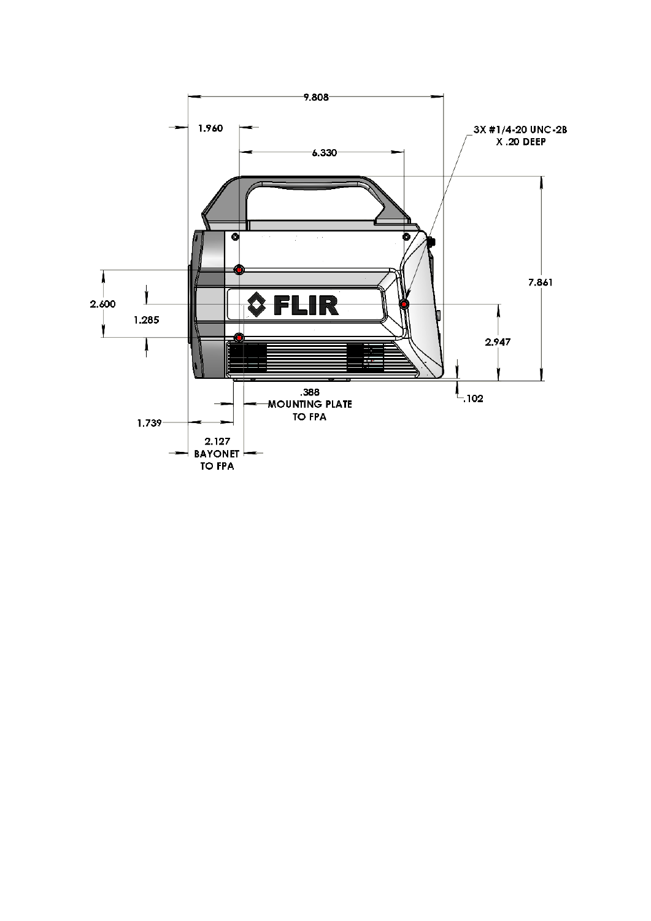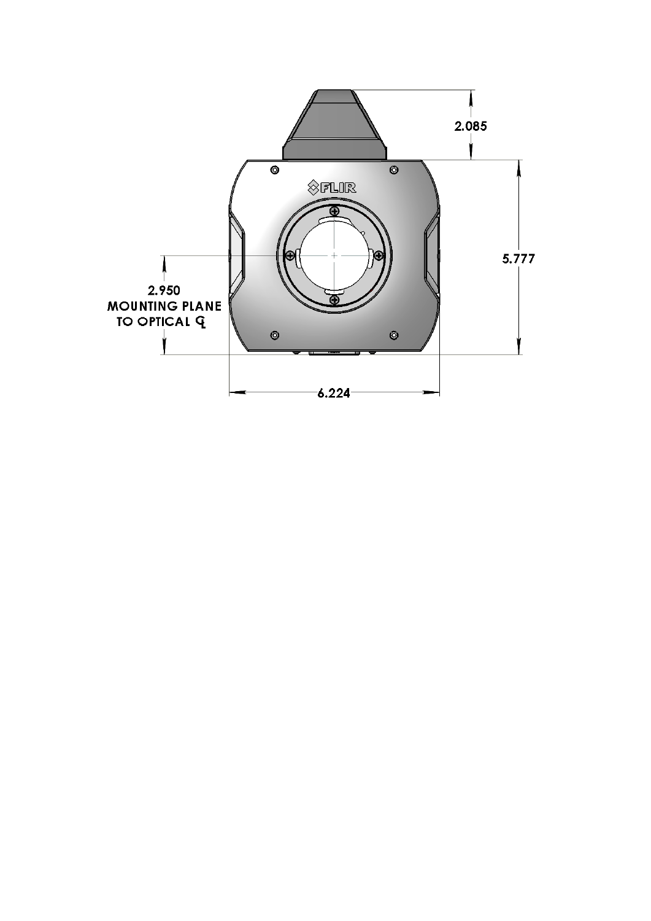